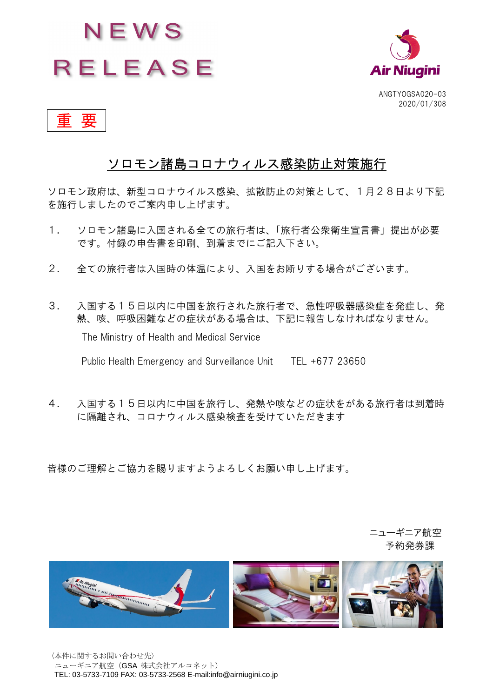



2020/01/308

重 要

# ソロモン諸島コロナウィルス感染防止対策施行

ソロモン政府は、新型コロナウイルス感染、拡散防止の対策として、1月28日より下記 を施行しましたのでご案内申し上げます。

- 1. ソロモン諸島に入国される全ての旅行者は、「旅行者公衆衛生宣言書」提出が必要 です。付録の申告書を印刷、到着までにご記入下さい。
- 2. 全ての旅行者は入国時の体温により、入国をお断りする場合がございます。
- 3. 入国する15日以内に中国を旅行された旅行者で、急性呼吸器感染症を発症し、発 熱、咳、呼吸困難などの症状がある場合は、下記に報告しなければなりません。 The Ministry of Health and Medical Service

Public Health Emergency and Surveillance Unit TEL +677 23650

4. 入国する15日以内に中国を旅行し、発熱や咳などの症状をがある旅行者は到着時 に隔離され、コロナウィルス感染検査を受けていただきます

皆様のご理解とご協力を賜りますようよろしくお願い申し上げます。

ニューギニア航空 予約発券課

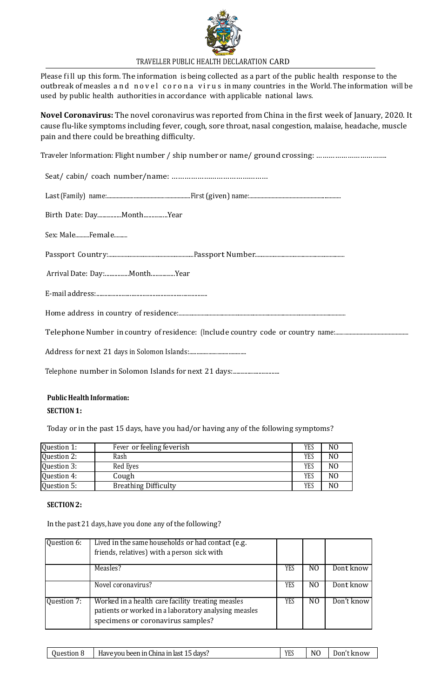

#### TRAVELLER PUBLIC HEALTH DECLARATION CARD

Please fill up this form. The information is being collected as a part of the public health response to the outbreak of measles and novel corona virus in many countries in the World. The information will be used by public health authorities in accordance with applicable national laws.

**Novel Coronavirus:** The novel coronavirus was reported from China in the first week of January, 2020. It cause flu-like symptoms including fever, cough, sore throat, nasal congestion, malaise, headache, muscle pain and there could be breathing difficulty.

Traveler Information: Flight number / ship number or name/ ground crossing: ……………………………

| Birth Date: DayMonthYear    |
|-----------------------------|
| Sex: MaleFemale             |
|                             |
| Arrival Date: Day:MonthYear |
|                             |
|                             |
|                             |
|                             |
|                             |

## **Public Health Information:**

## SECTION<sub>1</sub>:

Today or in the past 15 days, have you had/or having any of the following symptoms?

| Question 1: | Fever or feeling feverish   | YES | N <sub>0</sub> |
|-------------|-----------------------------|-----|----------------|
| Question 2: | Rash                        | YES | N <sub>0</sub> |
| Question 3: | Red Eves                    | YES | N <sub>0</sub> |
| Question 4: | Cough                       | YES | N <sub>0</sub> |
| Question 5: | <b>Breathing Difficulty</b> | YES | N <sub>0</sub> |

### **SECTION2:**

Inthe past 21 days, have you done any of the following?

| Question 6: | Lived in the same households or had contact (e.g.<br>friends, relatives) with a person sick with                                               |     |                |            |
|-------------|------------------------------------------------------------------------------------------------------------------------------------------------|-----|----------------|------------|
|             | Measles?                                                                                                                                       | YES | N <sub>0</sub> | Dont know  |
|             | Novel coronavirus?                                                                                                                             | YES | NO.            | Dont know  |
| Question 7: | Worked in a health care facility treating measles<br>patients or worked in a laboratory analysing measles<br>specimens or coronavirus samples? | YES | NO.            | Don't know |

| Ouestion 8 | Have vou been in China in last 15 days? | YES | NΟ | Don't know |
|------------|-----------------------------------------|-----|----|------------|
|------------|-----------------------------------------|-----|----|------------|